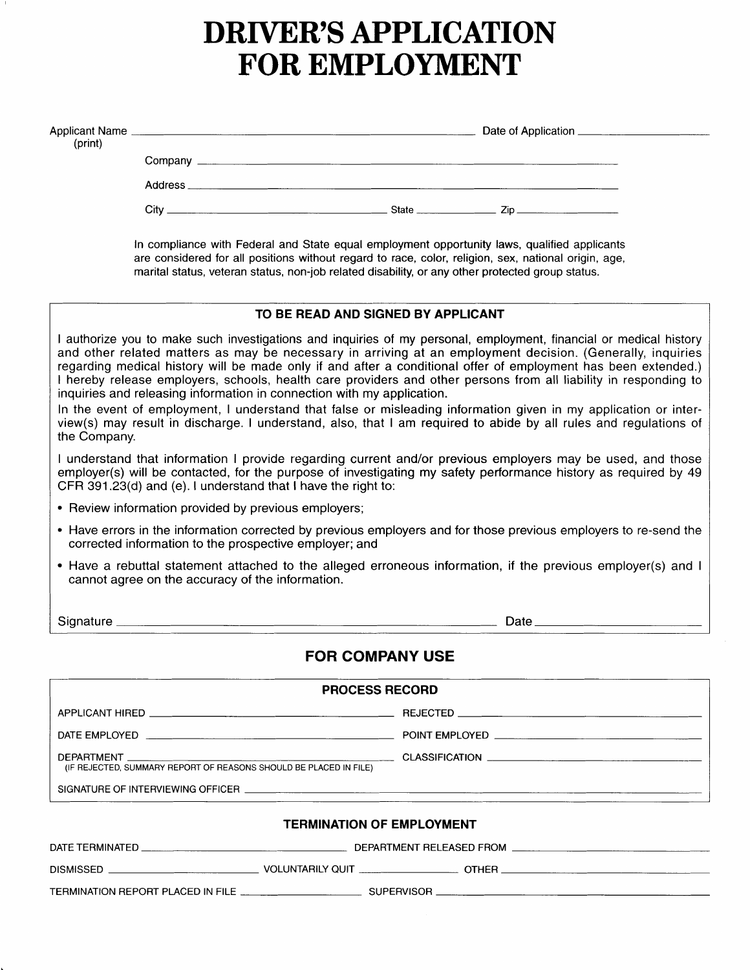# DRIVER'S APPLICATION FOR EMPLOYMENT

| (print) |                   |                                                                                                                     |  |                                                                                                                                                                                                                                                                                                                                                                                                               |  |  |
|---------|-------------------|---------------------------------------------------------------------------------------------------------------------|--|---------------------------------------------------------------------------------------------------------------------------------------------------------------------------------------------------------------------------------------------------------------------------------------------------------------------------------------------------------------------------------------------------------------|--|--|
|         |                   |                                                                                                                     |  |                                                                                                                                                                                                                                                                                                                                                                                                               |  |  |
|         | Address           | <u> 1980 - Jan James James Jan James James James James James James James James James James James James James Ja</u> |  |                                                                                                                                                                                                                                                                                                                                                                                                               |  |  |
|         | Citv <sub>—</sub> |                                                                                                                     |  | State $\frac{1}{\sqrt{1-\frac{1}{2}}\sqrt{1-\frac{1}{2}}\sqrt{1-\frac{1}{2}}\sqrt{1-\frac{1}{2}}\sqrt{1-\frac{1}{2}}\sqrt{1-\frac{1}{2}}\sqrt{1-\frac{1}{2}}\sqrt{1-\frac{1}{2}}\sqrt{1-\frac{1}{2}}\sqrt{1-\frac{1}{2}}\sqrt{1-\frac{1}{2}}\sqrt{1-\frac{1}{2}}\sqrt{1-\frac{1}{2}}\sqrt{1-\frac{1}{2}}\sqrt{1-\frac{1}{2}}\sqrt{1-\frac{1}{2}}\sqrt{1-\frac{1}{2}}\sqrt{1-\frac{1}{2}}\sqrt{1-\frac{1}{2}}$ |  |  |

In compliance with Federal and State equal employment opportunity laws, qualified applicants are considered for all positions without regard to race, color, religion, sex, national origin, age, marital status, veteran status, non-job related disability, or any other protected group status.

# TO BE REAO AND SIGNED BY APPLICANT lauthorize you to make such investigations and inquiries of my personal, employment, financial or medical history and other related matters as may be necessary in arriving at an employment decision. (Generally, inquiries regarding medical history will be made only if and after a conditional offer of employment has been extended.) I hereby release employers, schools, health care providers and other persons lrom all liability in responding to inquiries and releasing information in connection with my application. In the event of employment, I understand that false or misleading information given in my application or interview(s) may result in discharge. I understand, also, that lam required to abide by all rules and regulations ot the Company. I understand that information I provide regarding current and/or previous employers may be used, and those employer(s) will be contacted, for the purpose of investigating my safety performance history as required by 49 CFR 391.23(d) and (e). I understand that I have the right to: . Review information provided by previous employers; . Have errors in the information corrected by previous employers and for those previous employers to re-send the corrected information to the prospective employer; and . Have a rebuttal statement attached to the alleged erroneous information, if the previous employer(s) and I cannot agree on the accuracy of the information. Signature Date Development Control Control of Date Date Date Date Date Date Date D FOR COMPANY USE PROCESS RECORD APPLICANT HIRED REJECTED DATE EMPLOYED POINT EMPLOYED <u>\_\_\_\_\_\_\_\_\_\_\_\_\_\_\_</u>

SIGNATURE OF INTERVIEWING OFFICER

(IF REJECTED, SUMMARY REPORT OF REASONS SHOULD BE PLACED IN FILE)

#### TERMINATION OF EMPLOYMENT

DEPARTMENT CLASSlFICATION

| DATE TERMINATED                   |                         | DEPARTMENT RELEASED FROM |  |
|-----------------------------------|-------------------------|--------------------------|--|
| <b>DISMISSED</b>                  | <b>VOLUNTARILY QUIT</b> | <b>OTHER</b>             |  |
| TERMINATION REPORT PLACED IN FILE | <b>SUPERVISOR</b>       |                          |  |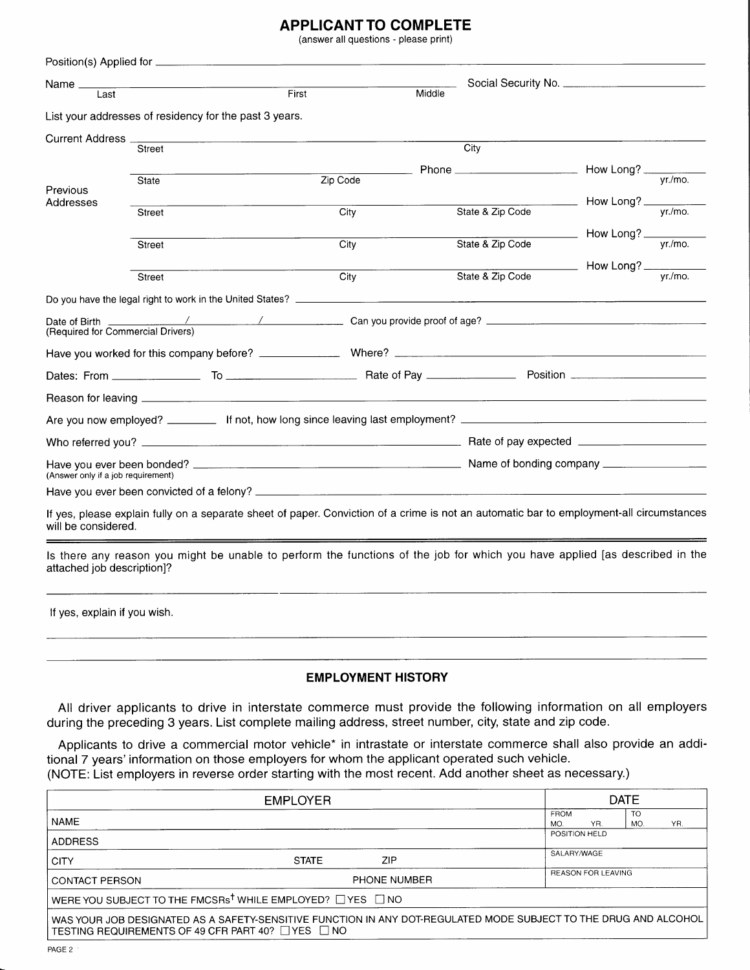# APPLICANT TO COMPLETE

(answer all questions - please print)

| Last              | <u> 1980 - John Harry Harry Harry Harry Harry Harry Harry Harry Harry Harry Harry Harry Harry Harry Harry Harry H</u> | First    | Middle |                  |                                                                                                                                                                                                                                                                                                                                                                                                                               |  |
|-------------------|-----------------------------------------------------------------------------------------------------------------------|----------|--------|------------------|-------------------------------------------------------------------------------------------------------------------------------------------------------------------------------------------------------------------------------------------------------------------------------------------------------------------------------------------------------------------------------------------------------------------------------|--|
|                   | List your addresses of residency for the past 3 years.                                                                |          |        |                  |                                                                                                                                                                                                                                                                                                                                                                                                                               |  |
| Current Address _ |                                                                                                                       |          |        |                  |                                                                                                                                                                                                                                                                                                                                                                                                                               |  |
|                   | Street                                                                                                                |          | City   |                  |                                                                                                                                                                                                                                                                                                                                                                                                                               |  |
|                   | State                                                                                                                 | Zip Code |        |                  | Phone $\frac{1}{\sqrt{y_1/m_0}}$ How Long? $\frac{1}{\sqrt{y_1/m_0}}$                                                                                                                                                                                                                                                                                                                                                         |  |
| Previous          |                                                                                                                       |          |        |                  |                                                                                                                                                                                                                                                                                                                                                                                                                               |  |
| Addresses         | Street                                                                                                                | City     |        | State & Zip Code | $\frac{1}{\sqrt{1-\frac{y}{x}}-1}$ How Long? $\frac{y}{y}$                                                                                                                                                                                                                                                                                                                                                                    |  |
|                   |                                                                                                                       |          |        |                  |                                                                                                                                                                                                                                                                                                                                                                                                                               |  |
|                   | Street                                                                                                                | City     |        | State & Zip Code | $\frac{1}{\sqrt{1-\frac{1}{1-\frac{1}{1-\frac{1}{1-\frac{1}{1-\frac{1}{1-\frac{1}{1-\frac{1}{1-\frac{1}{1-\frac{1}{1-\frac{1}{1-\frac{1}{1-\frac{1}{1-\frac{1}{1-\frac{1}{1-\frac{1}{1-\frac{1}{1-\frac{1}{1-\frac{1}{1-\frac{1}{1-\frac{1}{1-\frac{1}{1-\frac{1}{1-\frac{1}{1-\frac{1}{1-\frac{1}{1-\frac{1}{1-\frac{1}{1-\frac{1}{1-\frac{1}{1-\frac{1}{1-\frac{1}{1-\frac{1}{1-\frac{1}{1-\frac{1}{1-\frac{1}{1-\$         |  |
|                   |                                                                                                                       |          |        |                  |                                                                                                                                                                                                                                                                                                                                                                                                                               |  |
|                   | Street                                                                                                                | City     |        | State & Zip Code | $\frac{1}{\sqrt{1-\frac{1}{\sqrt{1-\frac{1}{\sqrt{1-\frac{1}{\sqrt{1-\frac{1}{\sqrt{1-\frac{1}{\sqrt{1-\frac{1}{\sqrt{1-\frac{1}{1-\frac{1}{\sqrt{1-\frac{1}{1-\frac{1}{\sqrt{1-\frac{1}{1-\frac{1}{\sqrt{1-\frac{1}{1-\frac{1}{1-\frac{1}{\sqrt{1-\frac{1}{1-\frac{1}{\sqrt{1-\frac{1}{1-\frac{1}{\sqrt{1-\frac{1}{1-\frac{1}{\sqrt{1-\frac{1}{1-\frac{1}{\sqrt{1-\frac{1}{1-\frac{1}{\sqrt{1-\frac{1}{1-\frac{1}{\sqrt{1-\$ |  |
|                   |                                                                                                                       |          |        |                  |                                                                                                                                                                                                                                                                                                                                                                                                                               |  |
|                   |                                                                                                                       |          |        |                  |                                                                                                                                                                                                                                                                                                                                                                                                                               |  |
|                   |                                                                                                                       |          |        |                  |                                                                                                                                                                                                                                                                                                                                                                                                                               |  |
|                   |                                                                                                                       |          |        |                  |                                                                                                                                                                                                                                                                                                                                                                                                                               |  |
|                   | (Answer only if a job requirement)                                                                                    |          |        |                  |                                                                                                                                                                                                                                                                                                                                                                                                                               |  |
|                   |                                                                                                                       |          |        |                  |                                                                                                                                                                                                                                                                                                                                                                                                                               |  |
|                   |                                                                                                                       |          |        |                  |                                                                                                                                                                                                                                                                                                                                                                                                                               |  |

lf yes, explain if you wish.

#### EMPLOYMENT HISTORY

All driver applicants to drive in interstate commerce must provide the following information on all employers during the preceding 3 years. List complete mailing address, street number, city, state and zip code.

Applicants to drive a commercial motor vehicle\* in intrastate or interstate commerce shall also provide an additional 7 years' information on those employers for whom the applicant operated such vehicle. (NOTE: List employers in reverse order starting with the most recent. Add another sheet as necessary.)

| <b>EMPLOYER</b>       |                                                                                                                                                                        | <b>DATE</b>                                                |  |  |  |
|-----------------------|------------------------------------------------------------------------------------------------------------------------------------------------------------------------|------------------------------------------------------------|--|--|--|
| <b>NAME</b>           |                                                                                                                                                                        | <b>TO</b><br><b>FROM</b><br>YR.<br><b>MO</b><br>YR.<br>MO. |  |  |  |
| <b>ADDRESS</b>        |                                                                                                                                                                        | POSITION HELD                                              |  |  |  |
| <b>CITY</b>           | <b>ZIP</b><br><b>STATE</b>                                                                                                                                             | SALARY/WAGE                                                |  |  |  |
| <b>CONTACT PERSON</b> | PHONE NUMBER                                                                                                                                                           | <b>REASON FOR LEAVING</b>                                  |  |  |  |
|                       | WERE YOU SUBJECT TO THE FMCSRs <sup>†</sup> WHILE EMPLOYED? $\Box$ YES $\Box$ NO                                                                                       |                                                            |  |  |  |
|                       | WAS YOUR JOB DESIGNATED AS A SAFETY-SENSITIVE FUNCTION IN ANY DOT-REGULATED MODE SUBJECT TO THE DRUG AND ALCOHOL<br>TESTING REQUIREMENTS OF 49 CFR PART 40? □ YES □ NO |                                                            |  |  |  |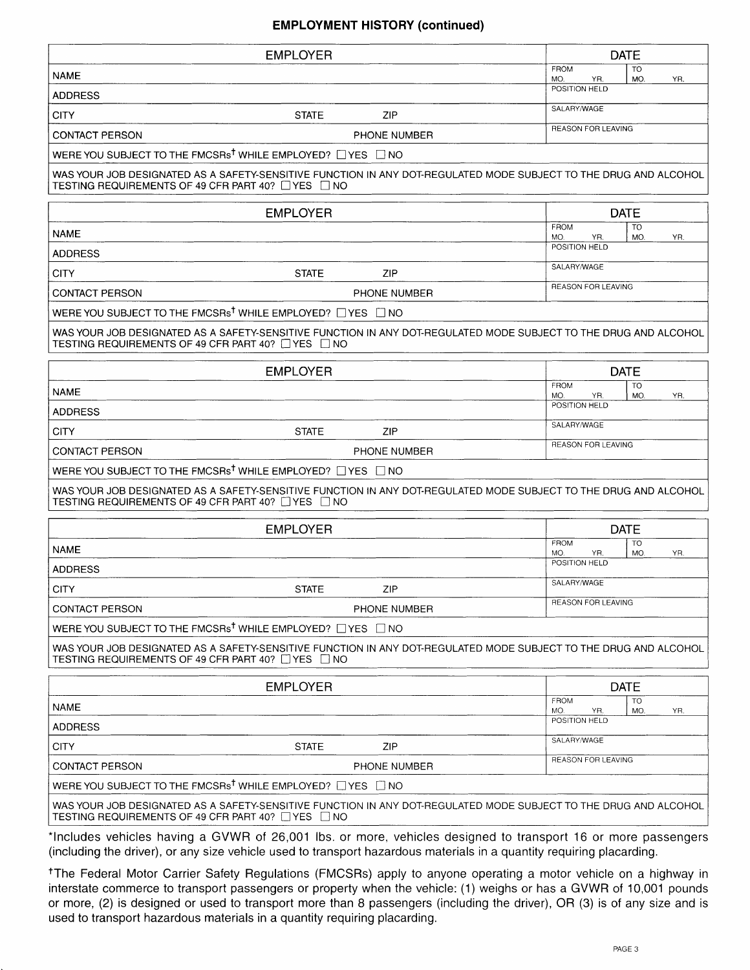## EM PLOYMENT HISTORY (continued)

| <b>EMPLOYER</b>                                                                                                                                                                  |                     |                    |                           | <b>DATE</b>      |     |
|----------------------------------------------------------------------------------------------------------------------------------------------------------------------------------|---------------------|--------------------|---------------------------|------------------|-----|
| <b>NAME</b>                                                                                                                                                                      |                     | <b>FROM</b><br>MO. | YR.                       | TO<br>MO.        | YR. |
| <b>ADDRESS</b>                                                                                                                                                                   |                     | POSITION HELD      |                           |                  |     |
| <b>CITY</b><br><b>STATE</b>                                                                                                                                                      | <b>ZIP</b>          | SALARY/WAGE        |                           |                  |     |
| <b>CONTACT PERSON</b>                                                                                                                                                            | PHONE NUMBER        |                    | <b>REASON FOR LEAVING</b> |                  |     |
| WERE YOU SUBJECT TO THE FMCSRs <sup>†</sup> WHILE EMPLOYED? □ YES □ NO                                                                                                           |                     |                    |                           |                  |     |
| WAS YOUR JOB DESIGNATED AS A SAFETY-SENSITIVE FUNCTION IN ANY DOT-REGULATED MODE SUBJECT TO THE DRUG AND ALCOHOL<br>TESTING REQUIREMENTS OF 49 CFR PART 40? □ YES □ NO           |                     |                    |                           |                  |     |
| <b>EMPLOYER</b>                                                                                                                                                                  |                     |                    |                           | <b>DATE</b>      |     |
| <b>NAME</b>                                                                                                                                                                      |                     | <b>FROM</b><br>MO. | YR.                       | TO<br>MO.        | YR. |
| <b>ADDRESS</b>                                                                                                                                                                   |                     | POSITION HELD      |                           |                  |     |
| <b>STATE</b><br><b>CITY</b>                                                                                                                                                      | <b>ZIP</b>          | SALARY/WAGE        |                           |                  |     |
| <b>CONTACT PERSON</b>                                                                                                                                                            | PHONE NUMBER        |                    | REASON FOR LEAVING        |                  |     |
| WERE YOU SUBJECT TO THE FMCSRs <sup>†</sup> WHILE EMPLOYED? □ YES □ NO                                                                                                           |                     |                    |                           |                  |     |
| WAS YOUR JOB DESIGNATED AS A SAFETY-SENSITIVE FUNCTION IN ANY DOT-REGULATED MODE SUBJECT TO THE DRUG AND ALCOHOL<br>TESTING REQUIREMENTS OF 49 CFR PART 40? □ YES □ NO           |                     |                    |                           |                  |     |
| <b>EMPLOYER</b>                                                                                                                                                                  |                     |                    |                           | <b>DATE</b>      |     |
| <b>NAME</b>                                                                                                                                                                      |                     | FROM<br>MO.        | YR.                       | <b>TO</b><br>MO. | YR. |
| <b>ADDRESS</b>                                                                                                                                                                   |                     | POSITION HELD      |                           |                  |     |
| <b>CITY</b><br><b>STATE</b>                                                                                                                                                      | ZIP                 | SALARY/WAGE        |                           |                  |     |
| <b>CONTACT PERSON</b>                                                                                                                                                            | <b>PHONE NUMBER</b> |                    | REASON FOR LEAVING        |                  |     |
| WERE YOU SUBJECT TO THE FMCSRs <sup>†</sup> WHILE EMPLOYED? □ YES □ NO                                                                                                           |                     |                    |                           |                  |     |
| WAS YOUR JOB DESIGNATED AS A SAFETY-SENSITIVE FUNCTION IN ANY DOT-REGULATED MODE SUBJECT TO THE DRUG AND ALCOHOL<br>TESTING REQUIREMENTS OF 49 CFR PART 40? □ YES □ NO           |                     |                    |                           |                  |     |
| <b>EMPLOYER</b>                                                                                                                                                                  |                     |                    |                           | <b>DATE</b>      |     |
| <b>NAME</b>                                                                                                                                                                      |                     | <b>FROM</b><br>MO. | YR.                       | <b>TO</b><br>MO. | YR. |
| <b>ADDRESS</b>                                                                                                                                                                   |                     | POSITION HELD      |                           |                  |     |
| <b>CITY</b><br><b>STATE</b>                                                                                                                                                      | ZIP                 | SALARY/WAGE        |                           |                  |     |
| <b>CONTACT PERSON</b>                                                                                                                                                            | PHONE NUMBER        |                    | REASON FOR LEAVING        |                  |     |
| WERE YOU SUBJECT TO THE FMCSRs <sup>†</sup> WHILE EMPLOYED? □ YES □ NO                                                                                                           |                     |                    |                           |                  |     |
| WAS YOUR JOB DESIGNATED AS A SAFETY-SENSITIVE FUNCTION IN ANY DOT-REGULATED MODE SUBJECT TO THE DRUG AND ALCOHOL<br>TESTING REQUIREMENTS OF 49 CFR PART 40? □ YES □ NO           |                     |                    |                           |                  |     |
| <b>EMPLOYER</b>                                                                                                                                                                  |                     |                    |                           | <b>DATE</b>      |     |
| <b>NAME</b>                                                                                                                                                                      |                     | <b>FROM</b><br>MO. | YR.                       | <b>TO</b><br>MO. | YR. |
| <b>ADDRESS</b>                                                                                                                                                                   |                     | POSITION HELD      |                           |                  |     |
| <b>CITY</b><br><b>STATE</b>                                                                                                                                                      | ZIP                 | SALARY/WAGE        |                           |                  |     |
| <b>CONTACT PERSON</b>                                                                                                                                                            | PHONE NUMBER        |                    | REASON FOR LEAVING        |                  |     |
| WERE YOU SUBJECT TO THE FMCSRs <sup>t</sup> WHILE EMPLOYED? UYES UNO                                                                                                             |                     |                    |                           |                  |     |
| WAS YOUR JOB DESIGNATED AS A SAFETY-SENSITIVE FUNCTION IN ANY DOT-REGULATED MODE SUBJECT TO THE DRUG AND ALCOHOL<br>TESTING REQUIREMENTS OF 49 CFR PART 40? $\Box$ YES $\Box$ NO |                     |                    |                           |                  |     |

\*lncludes vehicles having a GVWR of 26,001 lbs. or more, vehicles designed to transport 16 or more passengers (including the driver), or any size vehicle used to transport hazardous materials in a quantity requiring placarding.

tThe Federal Motor Carrier Safety Begulations (FMCSRs) apply to anyone operating amotor vehicle on a highway in interstate commerce to transport passengers or property when the vehicle: (1) weighs or has a GVWR of 10,001 pounds or more, (2) is designed or used to transport more than 8 passengers (including the driver), OR (3) is of any size and is used to transport hazardous materials in a quantity requiring placarding.